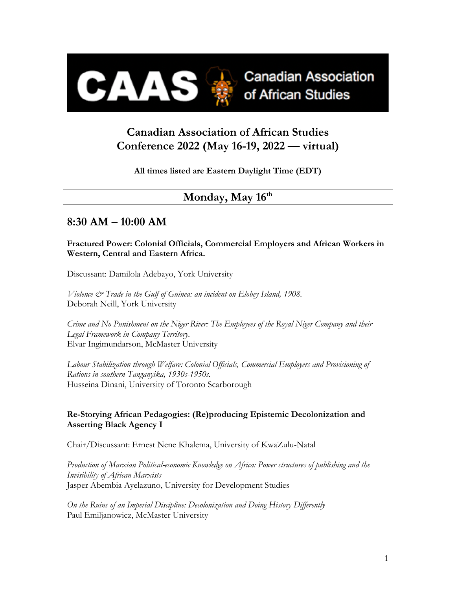

# **Canadian Association of African Studies Conference 2022 (May 16-19, 2022 — virtual)**

**All times listed are Eastern Daylight Time (EDT)**

# Monday, May 16<sup>th</sup>

# **8:30 AM – 10:00 AM**

**Fractured Power: Colonial Officials, Commercial Employers and African Workers in Western, Central and Eastern Africa.**

Discussant: Damilola Adebayo, York University

*Violence & Trade in the Gulf of Guinea: an incident on Elobey Island, 1908.* Deborah Neill, York University

*Crime and No Punishment on the Niger River: The Employees of the Royal Niger Company and their Legal Framework in Company Territory.* Elvar Ingimundarson, McMaster University

*Labour Stabilization through Welfare: Colonial Officials, Commercial Employers and Provisioning of Rations in southern Tanganyika, 1930s-1950s.* Husseina Dinani, University of Toronto Scarborough

## **Re-Storying African Pedagogies: (Re)producing Epistemic Decolonization and Asserting Black Agency I**

Chair/Discussant: Ernest Nene Khalema, University of KwaZulu-Natal

*Production of Marxian Political-economic Knowledge on Africa: Power structures of publishing and the Invisibility of African Marxists* Jasper Abembia Ayelazuno, University for Development Studies

*On the Ruins of an Imperial Discipline: Decolonization and Doing History Differently* Paul Emiljanowicz, McMaster University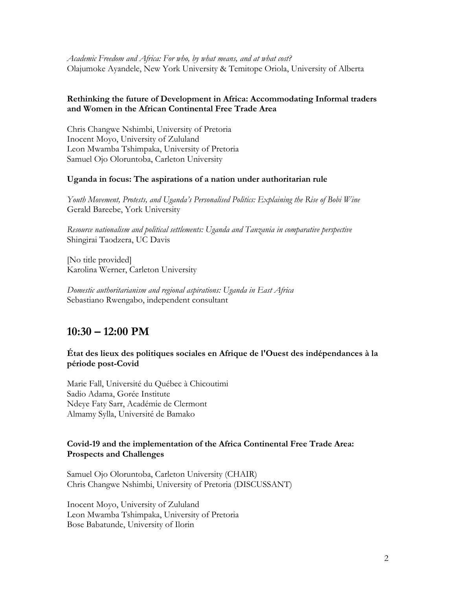*Academic Freedom and Africa: For who, by what means, and at what cost?* Olajumoke Ayandele, New York University & Temitope Oriola, University of Alberta

### **Rethinking the future of Development in Africa: Accommodating Informal traders and Women in the African Continental Free Trade Area**

Chris Changwe Nshimbi, University of Pretoria Inocent Moyo, University of Zululand Leon Mwamba Tshimpaka, University of Pretoria Samuel Ojo Oloruntoba, Carleton University

#### **Uganda in focus: The aspirations of a nation under authoritarian rule**

*Youth Movement, Protests, and Uganda's Personalised Politics: Explaining the Rise of Bobi Wine* Gerald Bareebe, York University

*Resource nationalism and political settlements: Uganda and Tanzania in comparative perspective* Shingirai Taodzera, UC Davis

[No title provided] Karolina Werner, Carleton University

*Domestic authoritarianism and regional aspirations: Uganda in East Africa* Sebastiano Rwengabo, independent consultant

## **10:30 – 12:00 PM**

#### **État des lieux des politiques sociales en Afrique de l'Ouest des indépendances à la période post-Covid**

Marie Fall, Université du Québec à Chicoutimi Sadio Adama, Gorée Institute Ndeye Faty Sarr, Académie de Clermont Almamy Sylla, Université de Bamako

### **Covid-19 and the implementation of the Africa Continental Free Trade Area: Prospects and Challenges**

Samuel Ojo Oloruntoba, Carleton University (CHAIR) Chris Changwe Nshimbi, University of Pretoria (DISCUSSANT)

Inocent Moyo, University of Zululand Leon Mwamba Tshimpaka, University of Pretoria Bose Babatunde, University of Ilorin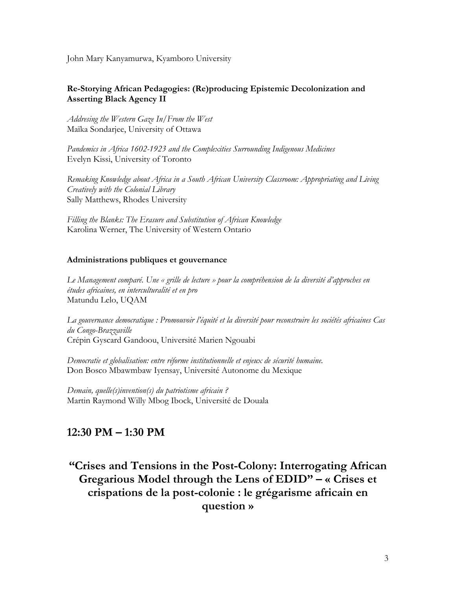John Mary Kanyamurwa, Kyamboro University

## **Re-Storying African Pedagogies: (Re)producing Epistemic Decolonization and Asserting Black Agency II**

*Addresing the Western Gaze In/From the West* Maïka Sondarjee, University of Ottawa

*Pandemics in Africa 1602-1923 and the Complexities Surrounding Indigenous Medicines* Evelyn Kissi, University of Toronto

*Remaking Knowledge about Africa in a South African University Classroom: Appropriating and Living Creatively with the Colonial Library* Sally Matthews, Rhodes University

*Filling the Blanks: The Erasure and Substitution of African Knowledge* Karolina Werner, The University of Western Ontario

### **Administrations publiques et gouvernance**

*Le Management comparé. Une « grille de lecture » pour la compréhension de la diversité d'approches en études africaines, en interculturalité et en pro* Matundu Lelo, UQAM

*La gouvernance democratique : Promouvoir l'équité et la diversité pour reconstruire les sociétés africaines Cas du Congo-Brazzaville* Crépin Gyscard Gandoou, Université Marien Ngouabi

*Democratie et globalisation: entre réforme institutionnelle et enjeux de sécurité humaine.* Don Bosco Mbawmbaw Iyensay, Université Autonome du Mexique

*Demain, quelle(s)invention(s) du patriotisme africain ?* Martin Raymond Willy Mbog Ibock, Université de Douala

## **12:30 PM – 1:30 PM**

# **"Crises and Tensions in the Post-Colony: Interrogating African Gregarious Model through the Lens of EDID" – « Crises et crispations de la post-colonie : le grégarisme africain en question »**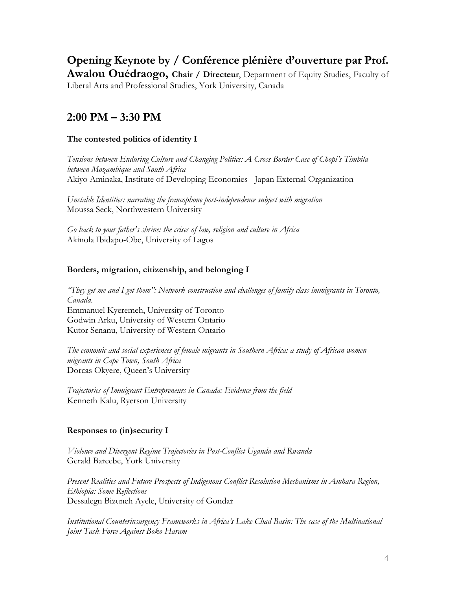**Opening Keynote by / Conférence plénière d'ouverture par Prof. Awalou Ouédraogo, Chair / Directeur**, Department of Equity Studies, Faculty of Liberal Arts and Professional Studies, York University, Canada

# **2:00 PM – 3:30 PM**

## **The contested politics of identity I**

*Tensions between Enduring Culture and Changing Politics: A Cross-Border Case of Chopi's Timbila between Mozambique and South Africa* Akiyo Aminaka, Institute of Developing Economies - Japan External Organization

*Unstable Identities: narrating the francophone post-independence subject with migration* Moussa Seck, Northwestern University

*Go back to your father's shrine: the crises of law, religion and culture in Africa* Akinola Ibidapo-Obe, University of Lagos

## **Borders, migration, citizenship, and belonging I**

*"They get me and I get them": Network construction and challenges of family class immigrants in Toronto, Canada.* Emmanuel Kyeremeh, University of Toronto Godwin Arku, University of Western Ontario Kutor Senanu, University of Western Ontario

*The economic and social experiences of female migrants in Southern Africa: a study of African women migrants in Cape Town, South Africa* Dorcas Okyere, Queen's University

*Trajectories of Immigrant Entrepreneurs in Canada: Evidence from the field* Kenneth Kalu, Ryerson University

## **Responses to (in)security I**

*Violence and Divergent Regime Trajectories in Post-Conflict Uganda and Rwanda* Gerald Bareebe, York University

*Present Realities and Future Prospects of Indigenous Conflict Resolution Mechanisms in Amhara Region, Ethiopia: Some Reflections* Dessalegn Bizuneh Ayele, University of Gondar

*Institutional Counterinsurgency Frameworks in Africa's Lake Chad Basin: The case of the Multinational Joint Task Force Against Boko Haram*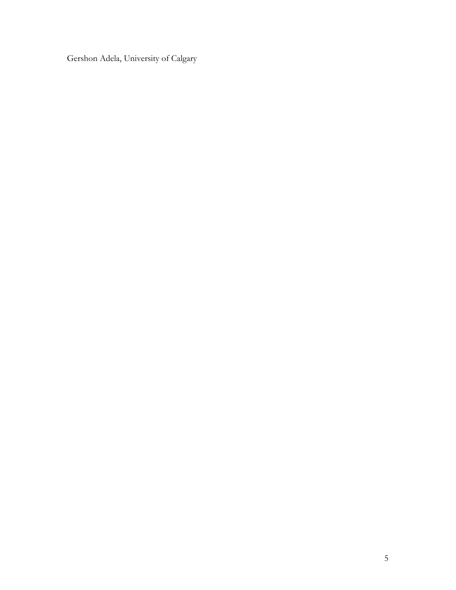Gershon Adela, University of Calgary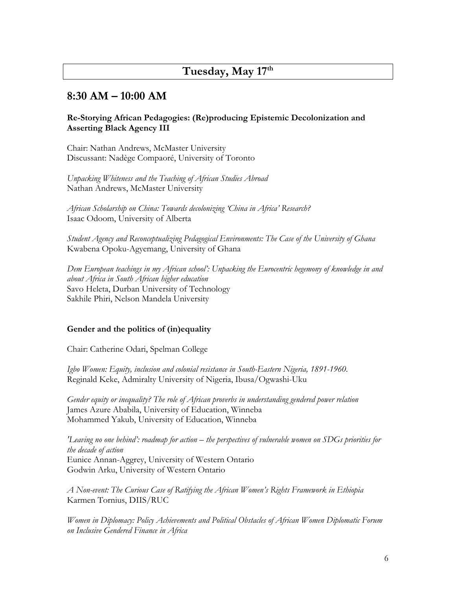## **Tuesday, May 17th**

## **8:30 AM – 10:00 AM**

#### **Re-Storying African Pedagogies: (Re)producing Epistemic Decolonization and Asserting Black Agency III**

Chair: Nathan Andrews, McMaster University Discussant: Nadège Compaoré, University of Toronto

*Unpacking Whiteness and the Teaching of African Studies Abroad* Nathan Andrews, McMaster University

*African Scholarship on China: Towards decolonizing 'China in Africa' Research?* Isaac Odoom, University of Alberta

*Student Agency and Reconceptualizing Pedagogical Environments: The Case of the University of Ghana* Kwabena Opoku-Agyemang, University of Ghana

*Dem European teachings in my African school': Unpacking the Eurocentric hegemony of knowledge in and about Africa in South African higher education* Savo Heleta, Durban University of Technology Sakhile Phiri, Nelson Mandela University

#### **Gender and the politics of (in)equality**

Chair: Catherine Odari, Spelman College

*Igbo Women: Equity, inclusion and colonial resistance in South-Eastern Nigeria, 1891-1960.* Reginald Keke, Admiralty University of Nigeria, Ibusa/Ogwashi-Uku

*Gender equity or inequality? The role of African proverbs in understanding gendered power relation* James Azure Ababila, University of Education, Winneba Mohammed Yakub, University of Education, Winneba

*'Leaving no one behind': roadmap for action – the perspectives of vulnerable women on SDGs priorities for the decade of action* Eunice Annan-Aggrey, University of Western Ontario Godwin Arku, University of Western Ontario

*A Non-event: The Curious Case of Ratifying the African Women's Rights Framework in Ethiopia* Karmen Tornius, DIIS/RUC

*Women in Diplomacy: Policy Achievements and Political Obstacles of African Women Diplomatic Forum on Inclusive Gendered Finance in Africa*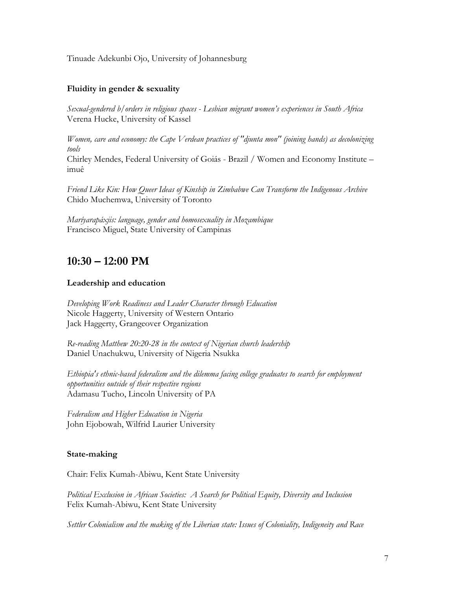Tinuade Adekunbi Ojo, University of Johannesburg

### **Fluidity in gender & sexuality**

*Sexual-gendered b/orders in religious spaces - Lesbian migrant women's experiences in South Africa* Verena Hucke, University of Kassel

*Women, care and economy: the Cape Verdean practices of "djunta mon" (joining hands) as decolonizing tools*

Chirley Mendes, Federal University of Goiás - Brazil / Women and Economy Institute – imuê

*Friend Like Kin: How Queer Ideas of Kinship in Zimbabwe Can Transform the Indigenous Archive* Chido Muchemwa, University of Toronto

*Maríyarapáxjis: language, gender and homosexuality in Mozambique* Francisco Miguel, State University of Campinas

## **10:30 – 12:00 PM**

#### **Leadership and education**

*Developing Work Readiness and Leader Character through Education* Nicole Haggerty, University of Western Ontario Jack Haggerty, Grangeover Organization

*Re-reading Matthew 20:20-28 in the context of Nigerian church leadership* Daniel Unachukwu, University of Nigeria Nsukka

*Ethiopia's ethnic-based federalism and the dilemma facing college graduates to search for employment opportunities outside of their respective regions* Adamasu Tucho, Lincoln University of PA

*Federalism and Higher Education in Nigeria* John Ejobowah, Wilfrid Laurier University

#### **State-making**

Chair: Felix Kumah-Abiwu, Kent State University

*Political Exclusion in African Societies: A Search for Political Equity, Diversity and Inclusion* Felix Kumah-Abiwu, Kent State University

*Settler Colonialism and the making of the Liberian state: Issues of Coloniality, Indigeneity and Race*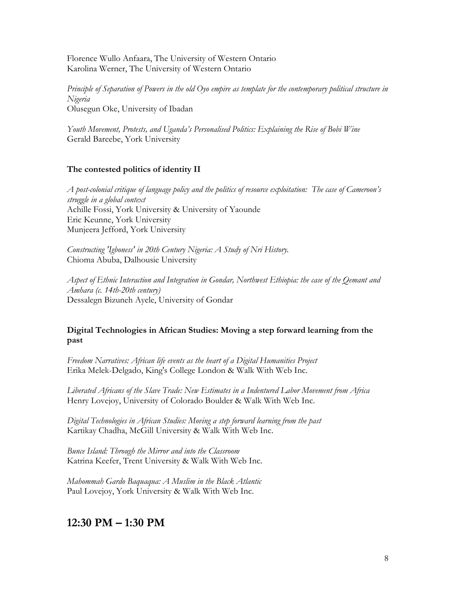Florence Wullo Anfaara, The University of Western Ontario Karolina Werner, The University of Western Ontario

*Principle of Separation of Powers in the old Oyo empire as template for the contemporary political structure in Nigeria* Olusegun Oke, University of Ibadan

*Youth Movement, Protests, and Uganda's Personalised Politics: Explaining the Rise of Bobi Wine* Gerald Bareebe, York University

## **The contested politics of identity II**

*A post-colonial critique of language policy and the politics of resource exploitation: The case of Cameroon's struggle in a global context* Achille Fossi, York University & University of Yaounde Eric Keunne, York University Munjeera Jefford, York University

*Constructing 'Igboness' in 20th Century Nigeria: A Study of Nri History.* Chioma Abuba, Dalhousie University

*Aspect of Ethnic Interaction and Integration in Gondar, Northwest Ethiopia: the case of the Qemant and Amhara (c. 14th-20th century)* Dessalegn Bizuneh Ayele, University of Gondar

## **Digital Technologies in African Studies: Moving a step forward learning from the past**

*Freedom Narratives: African life events as the heart of a Digital Humanities Project* Erika Melek-Delgado, King's College London & Walk With Web Inc.

*Liberated Africans of the Slave Trade: New Estimates in a Indentured Labor Movement from Africa* Henry Lovejoy, University of Colorado Boulder & Walk With Web Inc.

*Digital Technologies in African Studies: Moving a step forward learning from the past* Kartikay Chadha, McGill University & Walk With Web Inc.

*Bunce Island: Through the Mirror and into the Classroom* Katrina Keefer, Trent University & Walk With Web Inc.

*Mahommah Gardo Baquaqua: A Muslim in the Black Atlantic* Paul Lovejoy, York University & Walk With Web Inc.

## **12:30 PM – 1:30 PM**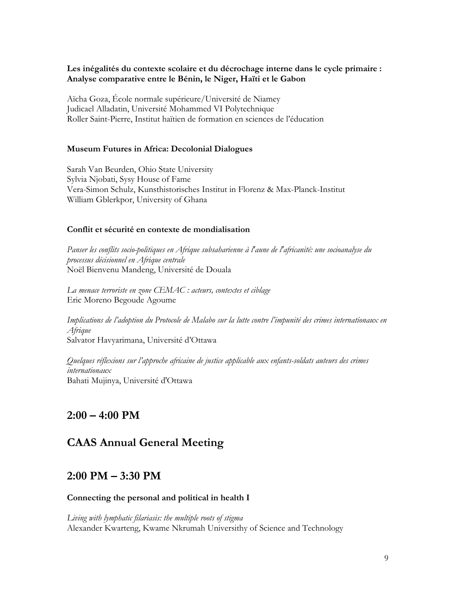### **Les inégalités du contexte scolaire et du décrochage interne dans le cycle primaire : Analyse comparative entre le Bénin, le Niger, Haïti et le Gabon**

Aïcha Goza, École normale supérieure/Université de Niamey Judicael Alladatin, Université Mohammed VI Polytechnique Roller Saint-Pierre, Institut haïtien de formation en sciences de l'éducation

### **Museum Futures in Africa: Decolonial Dialogues**

Sarah Van Beurden, Ohio State University Sylvia Njobati, Sysy House of Fame Vera-Simon Schulz, Kunsthistorisches Institut in Florenz & Max-Planck-Institut William Gblerkpor, University of Ghana

#### **Conflit et sécurité en contexte de mondialisation**

*Panser les conflits socio-politiques en Afrique subsaharienne à l'aune de l'africanité: une socioanalyse du processus décisionnel en Afrique centrale* Noël Bienvenu Mandeng, Université de Douala

*La menace terroriste en zone CEMAC : acteurs, contextes et ciblage* Eric Moreno Begoude Agoume

*Implications de l'adoption du Protocole de Malabo sur la lutte contre l'impunité des crimes internationaux en Afrique* Salvator Havyarimana, Université d'Ottawa

*Quelques réflexions sur l'approche africaine de justice applicable aux enfants-soldats auteurs des crimes internationaux* Bahati Mujinya, Université d'Ottawa

## **2:00 – 4:00 PM**

## **CAAS Annual General Meeting**

## **2:00 PM – 3:30 PM**

#### **Connecting the personal and political in health I**

*Living with lymphatic filariasis: the multiple roots of stigma* Alexander Kwarteng, Kwame Nkrumah Universithy of Science and Technology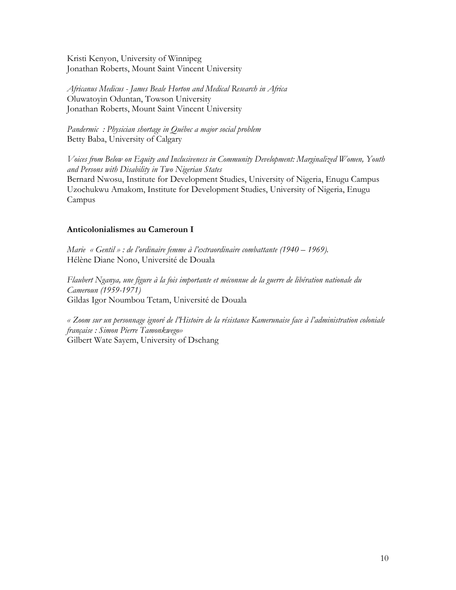Kristi Kenyon, University of Winnipeg Jonathan Roberts, Mount Saint Vincent University

*Africanus Medicus - James Beale Horton and Medical Research in Africa* Oluwatoyin Oduntan, Towson University Jonathan Roberts, Mount Saint Vincent University

*Pandermic : Physician shortage in Québec a major social problem* Betty Baba, University of Calgary

*Voices from Below on Equity and Inclusiveness in Community Development: Marginalized Women, Youth and Persons with Disability in Two Nigerian States* Bernard Nwosu, Institute for Development Studies, University of Nigeria, Enugu Campus Uzochukwu Amakom, Institute for Development Studies, University of Nigeria, Enugu Campus

## **Anticolonialismes au Cameroun I**

*Marie « Gentil » : de l'ordinaire femme à l'extraordinaire combattante (1940 – 1969).* Hélène Diane Nono, Université de Douala

*Flaubert Nganya, une figure à la fois importante et méconnue de la guerre de libération nationale du Cameroun (1959-1971)* Gildas Igor Noumbou Tetam, Université de Douala

*« Zoom sur un personnage ignoré de l'Histoire de la résistance Kamerunaise face à l'administration coloniale française : Simon Pierre Tamonkwego»* Gilbert Wate Sayem, University of Dschang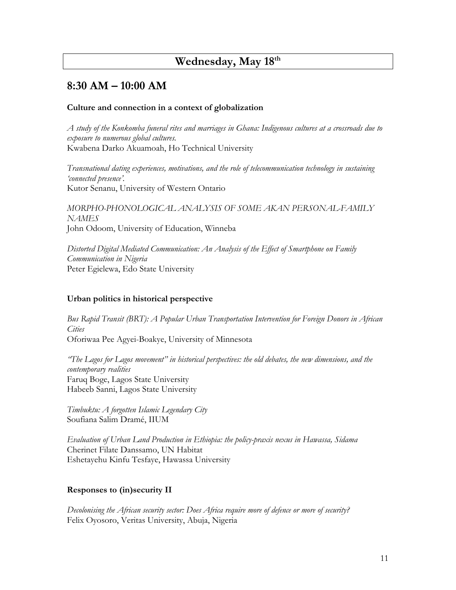## **Wednesday, May 18th**

## **8:30 AM – 10:00 AM**

#### **Culture and connection in a context of globalization**

*A study of the Konkomba funeral rites and marriages in Ghana: Indigenous cultures at a crossroads due to exposure to numerous global cultures.* Kwabena Darko Akuamoah, Ho Technical University

*Transnational dating experiences, motivations, and the role of telecommunication technology in sustaining 'connected presence'.* Kutor Senanu, University of Western Ontario

*MORPHO-PHONOLOGICAL ANALYSIS OF SOME AKAN PERSONAL-FAMILY NAMES* John Odoom, University of Education, Winneba

*Distorted Digital Mediated Communication: An Analysis of the Effect of Smartphone on Family Communication in Nigeria* Peter Egielewa, Edo State University

#### **Urban politics in historical perspective**

*Bus Rapid Transit (BRT): A Popular Urban Transportation Intervention for Foreign Donors in African Cities* Oforiwaa Pee Agyei-Boakye, University of Minnesota

*"The Lagos for Lagos movement" in historical perspectives: the old debates, the new dimensions, and the contemporary realities* Faruq Boge, Lagos State University Habeeb Sanni, Lagos State University

*Timbuktu: A forgotten Islamic Legendary City* Soufiana Salim Dramé, IIUM

*Evaluation of Urban Land Production in Ethiopia: the policy-praxis nexus in Hawassa, Sidama* Cherinet Filate Danssamo, UN Habitat Eshetayehu Kinfu Tesfaye, Hawassa University

#### **Responses to (in)security II**

*Decolonising the African security sector: Does Africa require more of defence or more of security?* Felix Oyosoro, Veritas University, Abuja, Nigeria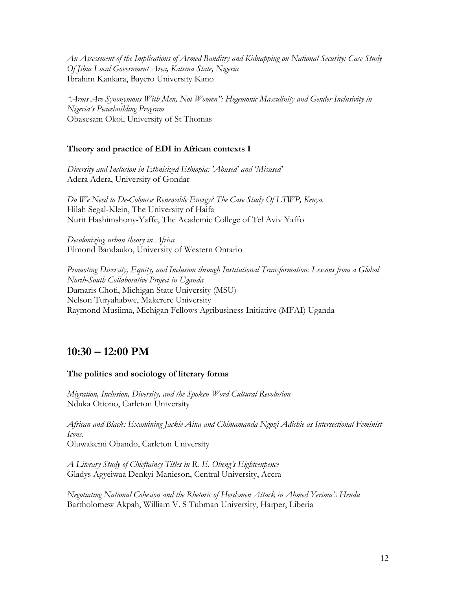*An Assessment of the Implications of Armed Banditry and Kidnapping on National Security: Case Study Of Jibia Local Government Area, Katsina State, Nigeria* Ibrahim Kankara, Bayero University Kano

*"Arms Are Synonymous With Men, Not Women": Hegemonic Masculinity and Gender Inclusivity in Nigeria's Peacebuilding Program* Obasesam Okoi, University of St Thomas

## **Theory and practice of EDI in African contexts I**

*Diversity and Inclusion in Ethnicized Ethiopia: 'Abused' and 'Misused'* Adera Adera, University of Gondar

*Do We Need to De-Colonise Renewable Energy? The Case Study Of LTWP, Kenya.* Hilah Segal-Klein, The University of Haifa Nurit Hashimshony-Yaffe, The Academic College of Tel Aviv Yaffo

*Decolonizing urban theory in Africa* Elmond Bandauko, University of Western Ontario

*Promoting Diversity, Equity, and Inclusion through Institutional Transformation: Lessons from a Global North-South Collaborative Project in Uganda* Damaris Choti, Michigan State University (MSU) Nelson Turyahabwe, Makerere University Raymond Musiima, Michigan Fellows Agribusiness Initiative (MFAI) Uganda

## **10:30 – 12:00 PM**

### **The politics and sociology of literary forms**

*Migration, Inclusion, Diversity, and the Spoken Word Cultural Revolution* Nduka Otiono, Carleton University

*African and Black: Examining Jackie Aina and Chimamanda Ngozi Adichie as Intersectional Feminist Icons.* Oluwakemi Obando, Carleton University

*A Literary Study of Chieftaincy Titles in R. E. Obeng's Eighteenpence* Gladys Agyeiwaa Denkyi-Manieson, Central University, Accra

*Negotiating National Cohesion and the Rhetoric of Herdsmen Attack in Ahmed Yerima's Hendu* Bartholomew Akpah, William V. S Tubman University, Harper, Liberia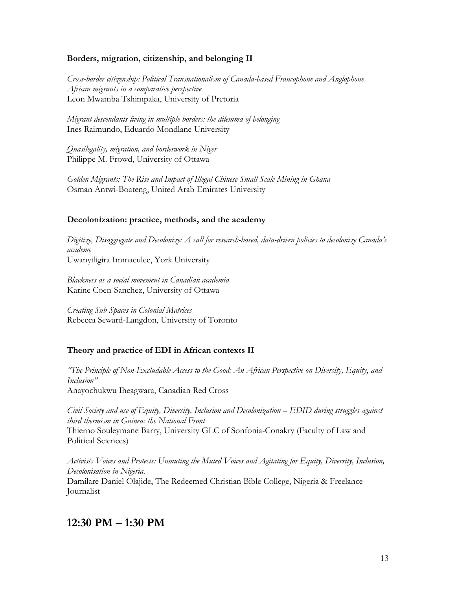#### **Borders, migration, citizenship, and belonging II**

*Cross-border citizenship: Political Transnationalism of Canada-based Francophone and Anglophone African migrants in a comparative perspective* Leon Mwamba Tshimpaka, University of Pretoria

*Migrant descendants living in multiple borders: the dilemma of belonging* Ines Raimundo, Eduardo Mondlane University

*Quasilegality, migration, and borderwork in Niger* Philippe M. Frowd, University of Ottawa

*Golden Migrants: The Rise and Impact of Illegal Chinese Small-Scale Mining in Ghana* Osman Antwi-Boateng, United Arab Emirates University

### **Decolonization: practice, methods, and the academy**

*Digitize, Disaggregate and Decolonize: A call for research-based, data-driven policies to decolonize Canada's academe* Uwanyiligira Immaculee, York University

*Blackness as a social movement in Canadian academia* Karine Coen-Sanchez, University of Ottawa

*Creating Sub-Spaces in Colonial Matrices* Rebecca Seward-Langdon, University of Toronto

### **Theory and practice of EDI in African contexts II**

*"The Principle of Non-Excludable Access to the Good: An African Perspective on Diversity, Equity, and Inclusion"* Anayochukwu Iheagwara, Canadian Red Cross

*Civil Society and use of Equity, Diversity, Inclusion and Decolonization – EDID during struggles against third thermism in Guinea: the National Front* Thierno Souleymane Barry, University GLC of Sonfonia-Conakry (Faculty of Law and Political Sciences)

*Activists Voices and Protests: Unmuting the Muted Voices and Agitating for Equity, Diversity, Inclusion, Decolonisation in Nigeria.* Damilare Daniel Olajide, The Redeemed Christian Bible College, Nigeria & Freelance Journalist

## **12:30 PM – 1:30 PM**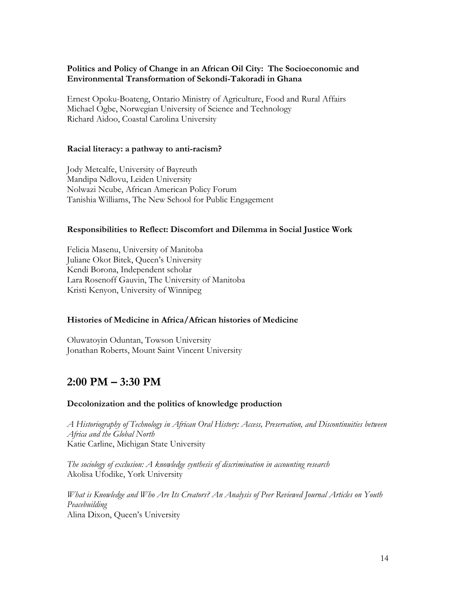### **Politics and Policy of Change in an African Oil City: The Socioeconomic and Environmental Transformation of Sekondi-Takoradi in Ghana**

Ernest Opoku-Boateng, Ontario Ministry of Agriculture, Food and Rural Affairs Michael Ogbe, Norwegian University of Science and Technology Richard Aidoo, Coastal Carolina University

#### **Racial literacy: a pathway to anti-racism?**

Jody Metcalfe, University of Bayreuth Mandipa Ndlovu, Leiden University Nolwazi Ncube, African American Policy Forum Tanishia Williams, The New School for Public Engagement

#### **Responsibilities to Reflect: Discomfort and Dilemma in Social Justice Work**

Felicia Masenu, University of Manitoba Juliane Okot Bitek, Queen's University Kendi Borona, Independent scholar Lara Rosenoff Gauvin, The University of Manitoba Kristi Kenyon, University of Winnipeg

### **Histories of Medicine in Africa/African histories of Medicine**

Oluwatoyin Oduntan, Towson University Jonathan Roberts, Mount Saint Vincent University

# **2:00 PM – 3:30 PM**

#### **Decolonization and the politics of knowledge production**

*A Historiography of Technology in African Oral History: Access, Preservation, and Discontinuities between Africa and the Global North* Katie Carline, Michigan State University

*The sociology of exclusion: A knowledge synthesis of discrimination in accounting research* Akolisa Ufodike, York University

*What is Knowledge and Who Are Its Creators? An Analysis of Peer Reviewed Journal Articles on Youth Peacebuilding* Alina Dixon, Queen's University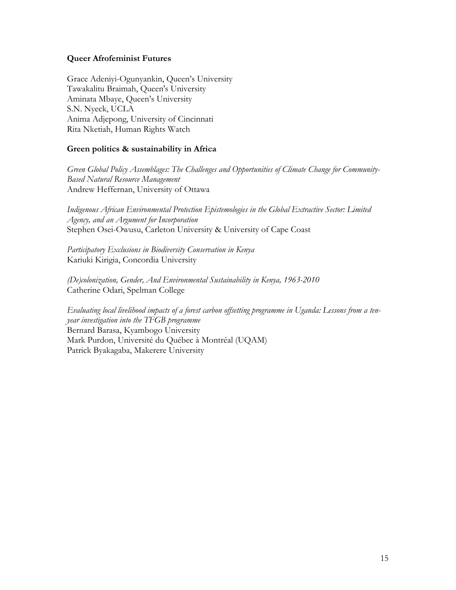#### **Queer Afrofeminist Futures**

Grace Adeniyi-Ogunyankin, Queen's University Tawakalitu Braimah, Queen's University Aminata Mbaye, Queen's University S.N. Nyeck, UCLA Anima Adjepong, University of Cincinnati Rita Nketiah, Human Rights Watch

### **Green politics & sustainability in Africa**

*Green Global Policy Assemblages: The Challenges and Opportunities of Climate Change for Community-Based Natural Resource Management* Andrew Heffernan, University of Ottawa

*Indigenous African Environmental Protection Epistemologies in the Global Extractive Sector: Limited Agency, and an Argument for Incorporation* Stephen Osei-Owusu, Carleton University & University of Cape Coast

*Participatory Exclusions in Biodiversity Conservation in Kenya* Kariuki Kirigia, Concordia University

*(De)colonization, Gender, And Environmental Sustainability in Kenya, 1963-2010* Catherine Odari, Spelman College

*Evaluating local livelihood impacts of a forest carbon offsetting programme in Uganda: Lessons from a tenyear investigation into the TFGB programme* Bernard Barasa, Kyambogo University Mark Purdon, Université du Québec à Montréal (UQAM) Patrick Byakagaba, Makerere University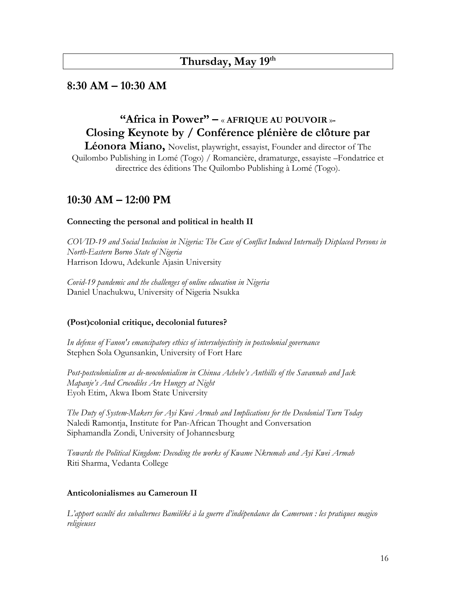## **Thursday, May 19th**

## **8:30 AM – 10:30 AM**

# **"Africa in Power" –** « **AFRIQUE AU POUVOIR** »**- Closing Keynote by / Conférence plénière de clôture par**

**Léonora Miano,** Novelist, playwright, essayist, Founder and director of The Quilombo Publishing in Lomé (Togo) / Romancière, dramaturge, essayiste –Fondatrice et directrice des éditions The Quilombo Publishing à Lomé (Togo).

## **10:30 AM – 12:00 PM**

### **Connecting the personal and political in health II**

*COVID-19 and Social Inclusion in Nigeria: The Case of Conflict Induced Internally Displaced Persons in North-Eastern Borno State of Nigeria* Harrison Idowu, Adekunle Ajasin University

*Covid-19 pandemic and the challenges of online education in Nigeria* Daniel Unachukwu, University of Nigeria Nsukka

## **(Post)colonial critique, decolonial futures?**

*In defense of Fanon's emancipatory ethics of intersubjectivity in postcolonial governance* Stephen Sola Ogunsankin, University of Fort Hare

*Post-postcolonialism as de-neocolonialism in Chinua Achebe's Anthills of the Savannah and Jack Mapanje's And Crocodiles Are Hungry at Night* Eyoh Etim, Akwa Ibom State University

*The Duty of System-Makers for Ayi Kwei Armah and Implications for the Decolonial Turn Today* Naledi Ramontja, Institute for Pan-African Thought and Conversation Siphamandla Zondi, University of Johannesburg

*Towards the Political Kingdom: Decoding the works of Kwame Nkrumah and Ayi Kwei Armah* Riti Sharma, Vedanta College

### **Anticolonialismes au Cameroun II**

*L'apport occulté des subalternes Bamiléké à la guerre d'indépendance du Cameroun : les pratiques magico religieuses*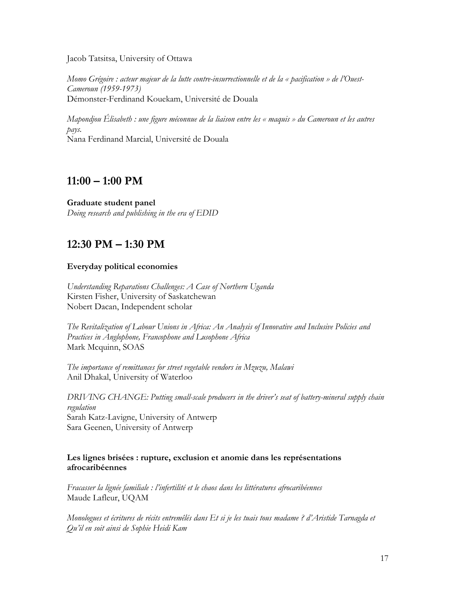Jacob Tatsitsa, University of Ottawa

*Momo Grégoire : acteur majeur de la lutte contre-insurrectionnelle et de la « pacification » de l'Ouest-Cameroun (1959-1973)* Démonster-Ferdinand Kouekam, Université de Douala

*Mapondjou Élisabeth : une figure méconnue de la liaison entre les « maquis » du Cameroun et les autres pays.* Nana Ferdinand Marcial, Université de Douala

## **11:00 – 1:00 PM**

**Graduate student panel** *Doing research and publishing in the era of EDID*

## **12:30 PM – 1:30 PM**

## **Everyday political economies**

*Understanding Reparations Challenges: A Case of Northern Uganda* Kirsten Fisher, University of Saskatchewan Nobert Dacan, Independent scholar

*The Revitalization of Labour Unions in Africa: An Analysis of Innovative and Inclusive Policies and Practices in Anglophone, Francophone and Lusophone Africa* Mark Mcquinn, SOAS

*The importance of remittances for street vegetable vendors in Mzuzu, Malawi* Anil Dhakal, University of Waterloo

*DRIVING CHANGE: Putting small-scale producers in the driver's seat of battery-mineral supply chain regulation* Sarah Katz-Lavigne, University of Antwerp Sara Geenen, University of Antwerp

### **Les lignes brisées : rupture, exclusion et anomie dans les représentations afrocaribéennes**

*Fracasser la lignée familiale : l'infertilité et le chaos dans les littératures afrocaribéennes* Maude Lafleur, UQAM

*Monologues et écritures de récits entremêlés dans Et si je les tuais tous madame ? d'Aristide Tarnagda et Qu'il en soit ainsi de Sophie Heidi Kam*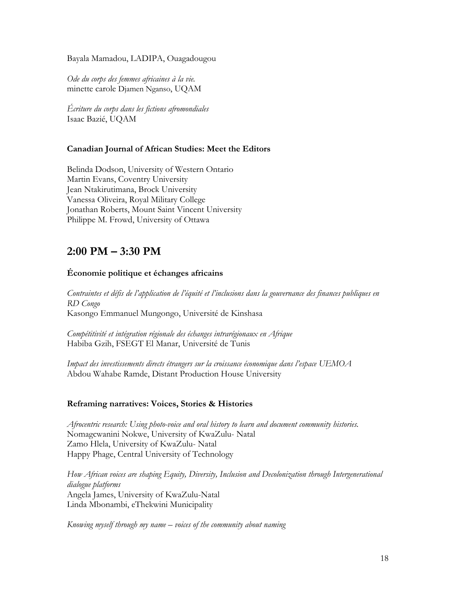Bayala Mamadou, LADIPA, Ouagadougou

*Ode du corps des femmes africaines à la vie.* minette carole Djamen Nganso, UQAM

*Écriture du corps dans les fictions afromondiales* Isaac Bazié, UQAM

## **Canadian Journal of African Studies: Meet the Editors**

Belinda Dodson, University of Western Ontario Martin Evans, Coventry University Jean Ntakirutimana, Brock University Vanessa Oliveira, Royal Military College Jonathan Roberts, Mount Saint Vincent University Philippe M. Frowd, University of Ottawa

# **2:00 PM – 3:30 PM**

## **Économie politique et échanges africains**

*Contraintes et défis de l'application de l'équité et l'inclusions dans la gouvernance des finances publiques en RD Congo* Kasongo Emmanuel Mungongo, Université de Kinshasa

*Compétitivité et intégration régionale des échanges intrarégionaux en Afrique* Habiba Gzih, FSEGT El Manar, Université de Tunis

*Impact des investissements directs étrangers sur la croissance économique dans l'espace UEMOA* Abdou Wahabe Ramde, Distant Production House University

### **Reframing narratives: Voices, Stories & Histories**

*Afrocentric research: Using photo-voice and oral history to learn and document community histories.*  Nomagcwanini Nokwe, University of KwaZulu- Natal Zamo Hlela, University of KwaZulu- Natal Happy Phage, Central University of Technology

*How African voices are shaping Equity, Diversity, Inclusion and Decolonization through Intergenerational dialogue platforms*  Angela James, University of KwaZulu-Natal Linda Mbonambi, eThekwini Municipality

*Knowing myself through my name – voices of the community about naming*